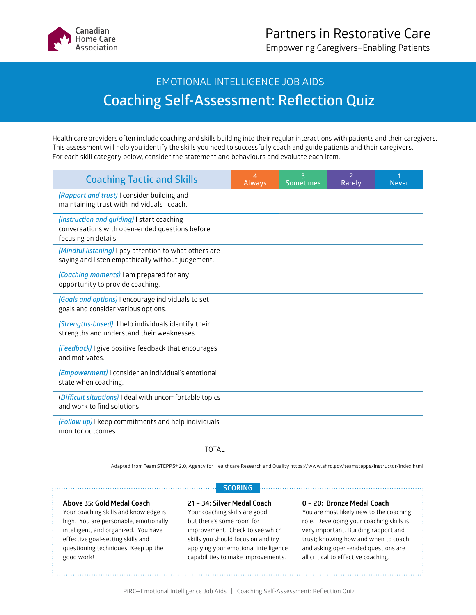

Empowering Caregivers–Enabling Patients

## EMOTIONAL INTELLIGENCE JOB AIDS **Coaching Self-Assessment: Reflection Quiz**

Health care providers often include coaching and skills building into their regular interactions with patients and their caregivers. This assessment will help you identify the skills you need to successfully coach and guide patients and their caregivers. For each skill category below, consider the statement and behaviours and evaluate each item.

| <b>Coaching Tactic and Skills</b>                                                                                    | 4<br><b>Always</b> | 3<br><b>Sometimes</b> | $\overline{2}$<br>Rarely | <b>Never</b> |
|----------------------------------------------------------------------------------------------------------------------|--------------------|-----------------------|--------------------------|--------------|
| (Rapport and trust) I consider building and<br>maintaining trust with individuals I coach.                           |                    |                       |                          |              |
| (Instruction and guiding) I start coaching<br>conversations with open-ended questions before<br>focusing on details. |                    |                       |                          |              |
| (Mindful listening) I pay attention to what others are<br>saying and listen empathically without judgement.          |                    |                       |                          |              |
| (Coaching moments) I am prepared for any<br>opportunity to provide coaching.                                         |                    |                       |                          |              |
| (Goals and options) I encourage individuals to set<br>goals and consider various options.                            |                    |                       |                          |              |
| (Strengths-based) I help individuals identify their<br>strengths and understand their weaknesses.                    |                    |                       |                          |              |
| (Feedback) I give positive feedback that encourages<br>and motivates.                                                |                    |                       |                          |              |
| ( <i>Empowerment</i> ) I consider an individual's emotional<br>state when coaching.                                  |                    |                       |                          |              |
| (Difficult situations) I deal with uncomfortable topics<br>and work to find solutions.                               |                    |                       |                          |              |
| (Follow up) I keep commitments and help individuals'<br>monitor outcomes                                             |                    |                       |                          |              |
| <b>TOTAL</b>                                                                                                         |                    |                       |                          |              |

Adapted from Team STEPPS® 2.0, Agency for Healthcare Research and Quality <https://www.ahrq.gov/teamstepps/instructor/index.html>

## **Above 35: Gold Medal Coach**

Your coaching skills and knowledge is high. You are personable, emotionally intelligent, and organized. You have effective goal-setting skills and questioning techniques. Keep up the good work! .

## **SCORING**

**21 – 34: Silver Medal Coach** Your coaching skills are good, but there's some room for improvement. Check to see which skills you should focus on and try applying your emotional intelligence capabilities to make improvements.

## **0 – 20: Bronze Medal Coach**

You are most likely new to the coaching role. Developing your coaching skills is very important. Building rapport and trust; knowing how and when to coach and asking open-ended questions are all critical to effective coaching.